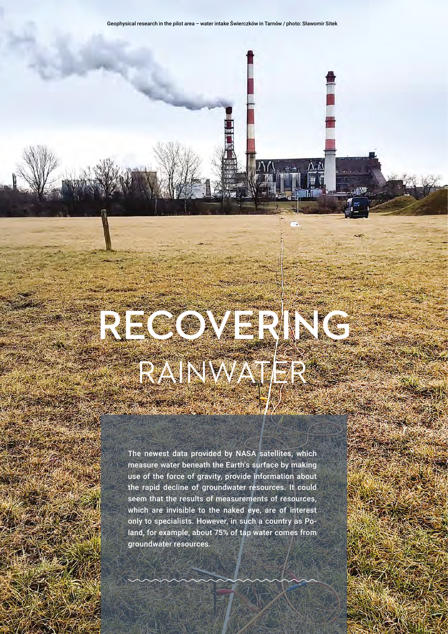## **RECOVERING** RAINWATER

The newest data provided by NASA satellites, which measure water beneath the Earth's surface by making use of the force of gravity, provide information about the rapid decline of groundwater resources. It could seem that the results of measurements of resources, which are invisible to the naked eye, are of interest only to specialists. However, in such a country as Poland, for example, about 75% of tap water comes from groundwater resources.